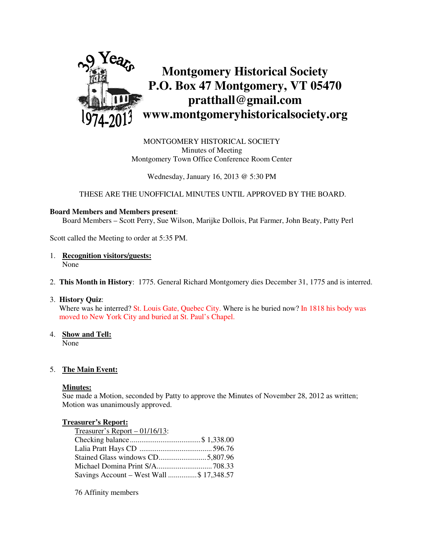

MONTGOMERY HISTORICAL SOCIETY Minutes of Meeting Montgomery Town Office Conference Room Center

Wednesday, January 16, 2013 @ 5:30 PM

THESE ARE THE UNOFFICIAL MINUTES UNTIL APPROVED BY THE BOARD.

### **Board Members and Members present**:

Board Members – Scott Perry, Sue Wilson, Marijke Dollois, Pat Farmer, John Beaty, Patty Perl

Scott called the Meeting to order at 5:35 PM.

- 1. **Recognition visitors/guests:** None
- 2. **This Month in History**: 1775. General Richard Montgomery dies December 31, 1775 and is interred.
- 3. **History Quiz**:

Where was he interred? St. Louis Gate, Quebec City. Where is he buried now? In 1818 his body was moved to New York City and buried at St. Paul's Chapel.

4. **Show and Tell:** 

None

## 5. **The Main Event:**

### **Minutes:**

Sue made a Motion, seconded by Patty to approve the Minutes of November 28, 2012 as written; Motion was unanimously approved.

### **Treasurer's Report:**

| Treasurer's Report $-01/16/13$ :         |  |
|------------------------------------------|--|
|                                          |  |
|                                          |  |
| Stained Glass windows CD5,807.96         |  |
|                                          |  |
| Savings Account – West Wall  \$17,348.57 |  |

76 Affinity members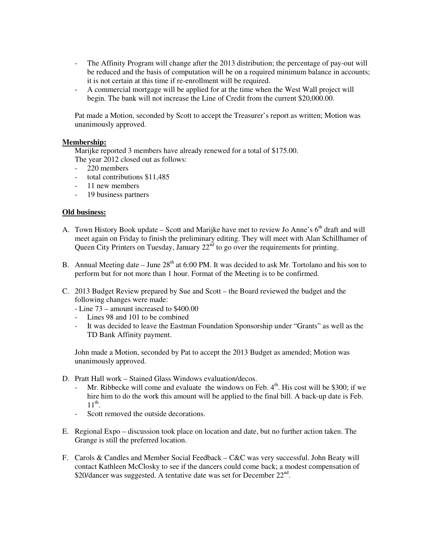- The Affinity Program will change after the 2013 distribution; the percentage of pay-out will be reduced and the basis of computation will be on a required minimum balance in accounts; it is not certain at this time if re-enrollment will be required.
- A commercial mortgage will be applied for at the time when the West Wall project will begin. The bank will not increase the Line of Credit from the current \$20,000.00.

Pat made a Motion, seconded by Scott to accept the Treasurer's report as written; Motion was unanimously approved.

## **Membership:**

Marijke reported 3 members have already renewed for a total of \$175.00.

- The year 2012 closed out as follows:
- 220 members
- total contributions \$11,485
- 11 new members
- 19 business partners

## **Old business:**

- A. Town History Book update Scott and Marijke have met to review Jo Anne's  $6<sup>th</sup>$  draft and will meet again on Friday to finish the preliminary editing. They will meet with Alan Schillhamer of Queen City Printers on Tuesday, January  $22<sup>nd</sup>$  to go over the requirements for printing.
- B. Annual Meeting date June  $28<sup>th</sup>$  at 6:00 PM. It was decided to ask Mr. Tortolano and his son to perform but for not more than 1 hour. Format of the Meeting is to be confirmed.
- C. 2013 Budget Review prepared by Sue and Scott the Board reviewed the budget and the following changes were made:
	- Line 73 amount increased to \$400.00
	- Lines 98 and 101 to be combined
	- It was decided to leave the Eastman Foundation Sponsorship under "Grants" as well as the TD Bank Affinity payment.

John made a Motion, seconded by Pat to accept the 2013 Budget as amended; Motion was unanimously approved.

- D. Pratt Hall work Stained Glass Windows evaluation/decos.
	- Mr. Ribbecke will come and evaluate the windows on Feb.  $4<sup>th</sup>$ . His cost will be \$300; if we hire him to do the work this amount will be applied to the final bill. A back-up date is Feb.  $11^{\text{th}}$ .
	- Scott removed the outside decorations.
- E. Regional Expo discussion took place on location and date, but no further action taken. The Grange is still the preferred location.
- F. Carols & Candles and Member Social Feedback C&C was very successful. John Beaty will contact Kathleen McClosky to see if the dancers could come back; a modest compensation of \$20/dancer was suggested. A tentative date was set for December  $22^{nd}$ .